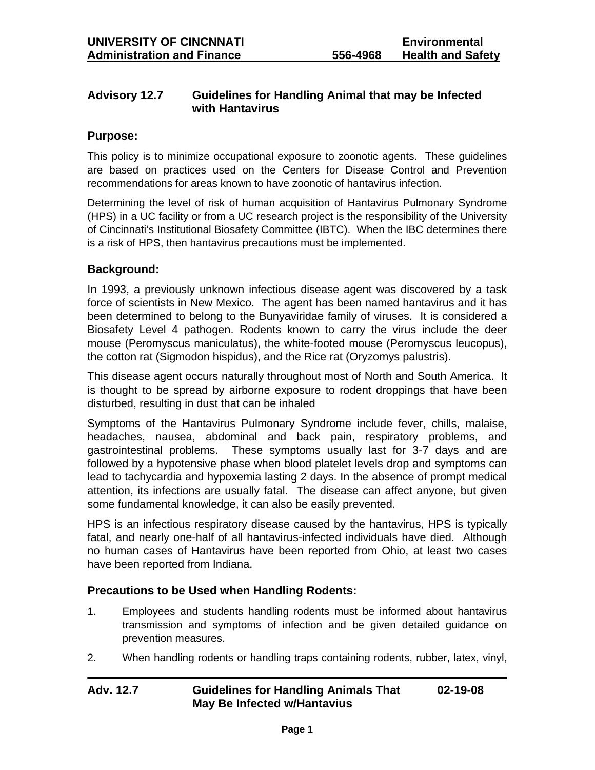# **Advisory 12.7 Guidelines for Handling Animal that may be Infected with Hantavirus**

### **Purpose:**

This policy is to minimize occupational exposure to zoonotic agents. These guidelines are based on practices used on the Centers for Disease Control and Prevention recommendations for areas known to have zoonotic of hantavirus infection.

Determining the level of risk of human acquisition of Hantavirus Pulmonary Syndrome (HPS) in a UC facility or from a UC research project is the responsibility of the University of Cincinnati's Institutional Biosafety Committee (IBTC). When the IBC determines there is a risk of HPS, then hantavirus precautions must be implemented.

## **Background:**

In 1993, a previously unknown infectious disease agent was discovered by a task force of scientists in New Mexico. The agent has been named hantavirus and it has been determined to belong to the Bunyaviridae family of viruses. It is considered a Biosafety Level 4 pathogen. Rodents known to carry the virus include the deer mouse (Peromyscus maniculatus), the white-footed mouse (Peromyscus leucopus), the cotton rat (Sigmodon hispidus), and the Rice rat (Oryzomys palustris).

This disease agent occurs naturally throughout most of North and South America. It is thought to be spread by airborne exposure to rodent droppings that have been disturbed, resulting in dust that can be inhaled

Symptoms of the Hantavirus Pulmonary Syndrome include fever, chills, malaise, headaches, nausea, abdominal and back pain, respiratory problems, and gastrointestinal problems. These symptoms usually last for 3-7 days and are followed by a hypotensive phase when blood platelet levels drop and symptoms can lead to tachycardia and hypoxemia lasting 2 days. In the absence of prompt medical attention, its infections are usually fatal. The disease can affect anyone, but given some fundamental knowledge, it can also be easily prevented.

HPS is an infectious respiratory disease caused by the hantavirus, HPS is typically fatal, and nearly one-half of all hantavirus-infected individuals have died. Although no human cases of Hantavirus have been reported from Ohio, at least two cases have been reported from Indiana.

## **Precautions to be Used when Handling Rodents:**

- 1. Employees and students handling rodents must be informed about hantavirus transmission and symptoms of infection and be given detailed guidance on prevention measures.
- 2. When handling rodents or handling traps containing rodents, rubber, latex, vinyl,